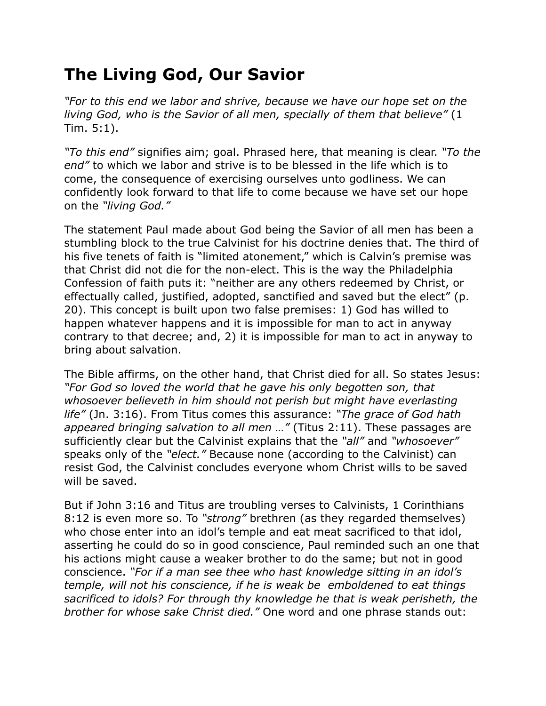## **The Living God, Our Savior**

*"For to this end we labor and shrive, because we have our hope set on the living God, who is the Savior of all men, specially of them that believe"* (1 Tim. 5:1).

*"To this end"* signifies aim; goal. Phrased here, that meaning is clear. *"To the end"* to which we labor and strive is to be blessed in the life which is to come, the consequence of exercising ourselves unto godliness. We can confidently look forward to that life to come because we have set our hope on the *"living God."*

The statement Paul made about God being the Savior of all men has been a stumbling block to the true Calvinist for his doctrine denies that. The third of his five tenets of faith is "limited atonement," which is Calvin's premise was that Christ did not die for the non-elect. This is the way the Philadelphia Confession of faith puts it: "neither are any others redeemed by Christ, or effectually called, justified, adopted, sanctified and saved but the elect" (p. 20). This concept is built upon two false premises: 1) God has willed to happen whatever happens and it is impossible for man to act in anyway contrary to that decree; and, 2) it is impossible for man to act in anyway to bring about salvation.

The Bible affirms, on the other hand, that Christ died for all. So states Jesus: *"For God so loved the world that he gave his only begotten son, that whosoever believeth in him should not perish but might have everlasting life"* (Jn. 3:16). From Titus comes this assurance: *"The grace of God hath appeared bringing salvation to all men …"* (Titus 2:11). These passages are sufficiently clear but the Calvinist explains that the *"all"* and *"whosoever"* speaks only of the *"elect."* Because none (according to the Calvinist) can resist God, the Calvinist concludes everyone whom Christ wills to be saved will be saved.

But if John 3:16 and Titus are troubling verses to Calvinists, 1 Corinthians 8:12 is even more so. To *"strong"* brethren (as they regarded themselves) who chose enter into an idol's temple and eat meat sacrificed to that idol, asserting he could do so in good conscience, Paul reminded such an one that his actions might cause a weaker brother to do the same; but not in good conscience. *"For if a man see thee who hast knowledge sitting in an idol's temple, will not his conscience, if he is weak be emboldened to eat things sacrificed to idols? For through thy knowledge he that is weak perisheth, the brother for whose sake Christ died."* One word and one phrase stands out: